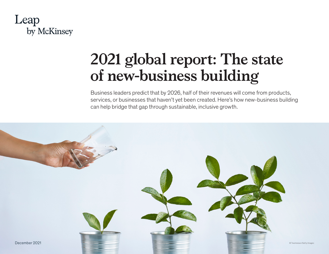

# **2021 global report: The state of new-business building**

Business leaders predict that by 2026, half of their revenues will come from products, services, or businesses that haven't yet been created. Here's how new-business building can help bridge that gap through sustainable, inclusive growth.

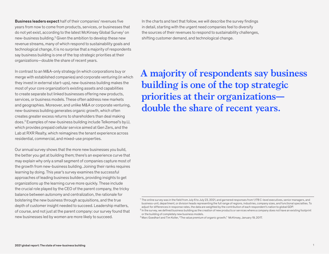Business leaders expect half of their companies' revenues five years from now to come from products, services, or businesses that do not yet exist, according to the latest McKinsey Global Survey<sup>1</sup> on new-business building.<sup>2</sup> Given the ambition to develop these new revenue streams, many of which respond to sustainability goals and technological change, it is no surprise that a majority of respondents say business building is one of the top strategic priorities at their organizations—double the share of recent years.

In contrast to an M&A-only strategy (in which corporations buy or merge with established companies) and corporate venturing (in which they invest in external start-ups), new-business building makes the most of your core organization's existing assets and capabilities to create separate but linked businesses offering new products, services, or business models. These often address new markets and geographies. Moreover, and unlike M&A or corporate venturing, new-business building generates organic growth, which often creates greater excess returns to shareholders than deal making does.3 Examples of new-business building include Telkomsel's by.U, which provides prepaid cellular service aimed at Gen Zers, and the Lab at RXR Realty, which reimagines the tenant experience across residential, commercial, and mixed-use properties.

Our annual survey shows that the more new businesses you build, the better you get at building them; there's an experience curve that may explain why only a small segment of companies capture most of the growth from new-business building. Joining their ranks requires learning by doing. This year's survey examines the successful approaches of leading business builders, providing insights to get organizations up the learning curve more quickly. These include the crucial role played by the CEO of the parent company, the tricky balance between autonomy and centralization, the rationale for bolstering the new business through acquisitions, and the true depth of customer insight needed to succeed. Leadership matters, of course, and not just at the parent company: our survey found that new businesses led by women are more likely to succeed.

In the charts and text that follow, we will describe the survey findings in detail, starting with the urgent need companies feel to diversify the sources of their revenues to respond to sustainability challenges, shifting customer demand, and technological change.

**A majority of respondents say business building is one of the top strategic priorities at their organizations double the share of recent years.** 

<sup>1</sup> The online survey was in the field from July 6 to July 23, 2021, and garnered responses from 1,178 C-level executives, senior managers, and business-unit, department, or division heads representing the full range of regions, industries, company sizes, and functional specialties. To adjust for differences in response rates, the data are weighted by the contribution of each respondent's nation to global GDP.

<sup>&</sup>lt;sup>2</sup> In the survey, we defined business building as the creation of new products or services where a company does not have an existing footprint or the building of completely new business models.

<sup>3</sup> Marc Goedhart and Tim Koller, "The value premium of organic growth," McKinsey, January 19, 2017.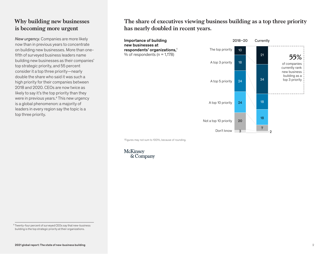## **Why building new businesses is becoming more urgent**

*New urgency.* Companies are more likely now than in previous years to concentrate on building new businesses. More than onefifth of surveyed business leaders name building new businesses as their companies' top strategic priority, and 55 percent consider it a top three priority—nearly double the share who said it was such a high priority for their companies between 2018 and 2020. CEOs are now twice as likely to say it's the top priority than they were in previous years.<sup>4</sup> This new urgency is a global phenomenon: a majority of leaders in every region say the topic is a top three priority.

The share of executives viewing business building as a top three priority **The share of executives viewing business building as a top three priority**  has nearly doubled in recent years. **has nearly doubled in recent years.**



1 Figures may not sum to 100%, because of rounding.



<sup>4</sup> Twenty-four percent of surveyed CEOs say that new-business building is the top strategic priority at their organizations.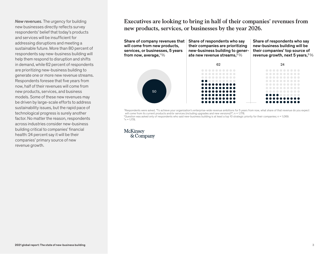*New revenues.* The urgency for building new businesses directly reflects survey respondents' belief that today's products and services will be insufficient for addressing disruptions and meeting a sustainable future. More than 80 percent of respondents say new-business building will help them respond to disruption and shifts in demand, while 62 percent of respondents are prioritizing new-business building to generate one or more new revenue streams. Respondents foresee that five years from now, half of their revenues will come from new products, services, and business models. Some of these new revenues may be driven by large-scale efforts to address sustainability issues, but the rapid pace of technological progress is surely another factor. No matter the reason, respondents across industries consider new-business building critical to companies' financial health: 24 percent say it will be their companies' primary source of new revenue growth.

### Executives are looking to bring in half of their companies' revenues from products, services, or businesses by the year 2026. **new products, services, or businesses by the year 2026.**

Share of company revenues that will come from new products, services, or businesses, 5 years from now, average,  $1\%$ Share of respondents who say their companies are prioritizing new-business building to generate new revenue streams.  $2\%$ 

Share of respondents who say new-business building will be their companies' top source of revenue growth, next 5 years,  $3\%$ 



1 Respondents were asked, "To achieve your organization's enterprise-wide revenue ambitions for 5 years from now, what share of that revenue do you expect will come from its current products and/or services (including upgrades and new versions)?"; n = 1,178. 2 Question was asked only of respondents who said new-business building is at least a top 10 strategic priority for their companies; n = 1,069.  $n = 1,178.$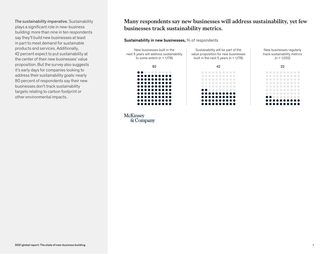*The sustainability imperative.* Sustainability plays a significant role in new-business building: more than nine in ten respondents say they'll build new businesses at least in part to meet demand for sustainable products and services. Additionally, 42 percent expect to put sustainability at the center of their new businesses' value proposition. But the survey also suggests it's early days for companies looking to address their sustainability goals: nearly 80 percent of respondents say their new businesses don't track sustainability targets relating to carbon footprint or other environmental impacts.

#### Many respondents say new businesses will address sustainability, yet few **Many respondents say new businesses will address sustainability, yet few**  businesses track sustainability metrics. **businesses track sustainability metrics.**

#### Sustainability in new businesses, % of respondents

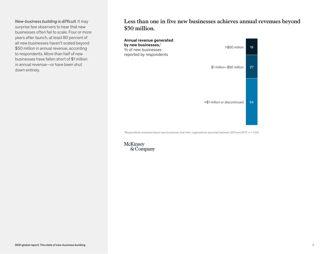*New-business building is difficult.* It may surprise few observers to hear that new businesses often fail to scale. Four or more years after launch, at least 80 percent of all new businesses haven't scaled beyond \$50 million in annual revenue, according to respondents. More than half of new businesses have fallen short of \$1 million in annual revenue—or have been shut down entirely.

Less than one in five new businesses achieves annual revenues beyond \$50 million. **\$50 million.**



1 Respondents answered about new businesses that their organizations launched between 2011 and 2017; n = 1,041.

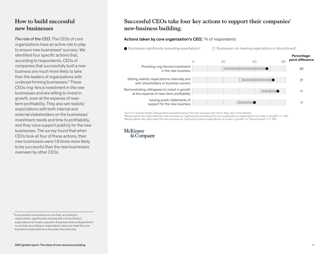## **How to build successful new businesses**

*The role of the CEO.* The CEOs of core organizations have an active role to play to ensure new businesses' success. We identified four specific actions that, according to respondents, CEOs of companies that successfully built a new business are much more likely to take than the leaders of organizations with underperforming businesses.<sup>5</sup> These CEOs ring-fence investment in the new businesses and are willing to invest in growth, even at the expense of nearterm profitability. They also set realistic expectations with both internal and external stakeholders on the businesses' investment needs and time to profitability, and they voice support publicly for the new businesses. The survey found that when CEOs took all four of these actions, their new businesses were 1.9 times more likely to be successful than the new businesses overseen by other CEOs.

## Successful CEOs take four key actions to support their companies' **Successful CEOs take four key actions to support their companies'**  new-business building. **new-business building.**

#### Actions taken by core organization's CEO,<sup>1</sup>% of respondents



1 Out of 11 actions tested. Respondents answered about the new business with which they were most familiar.

2 Respondents who described the new business as "signicantly exceeding the core organization's expectations for scale or growth"; n = 161. 3 Respondents who described the new business as "performing below expectations for scale or growth" or "discontinued"; n = 276.

<sup>5</sup> A successful new business is one that, according to respondents, significantly exceeds the core business's expectations for scale or growth. A business that underperforms is one that, according to respondents, does not meet the core business's expectations or has been discontinued.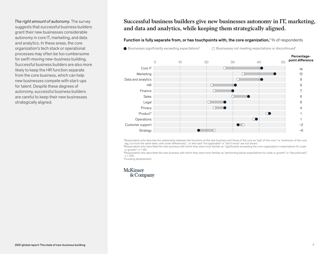*The right amount of autonomy.* The survey suggests that successful business builders grant their new businesses considerable autonomy in core IT, marketing, and data and analytics. In these areas, the core organization's tech stack or operational processes may often be too cumbersome for swift-moving new-business building. Successful business builders are also more likely to keep the HR function separate from the core business, which can help new businesses compete with start-ups for talent. Despite these degrees of autonomy, successful business builders are careful to keep their new businesses strategically aligned.

Successful business builders give new businesses autonomy in IT, marketing, **Successful business builders give new businesses autonomy in IT, marketing,**  and data and analytics, while keeping them strategically aligned. **and data and analytics, while keeping them strategically aligned.**

#### Function is fully separate from, or has touchpoints with, the core organization,<sup>1</sup> % of respondents

 $\bullet$  Businesses significantly exceeding expectations<sup>2</sup>  $\bigcirc$  Businesses not meeting expectations or discontinued<sup>3</sup>



1 Respondents who describe the relationship between the functions at the new business and those of the core as "part of the core," or "extension of the core (eg, run from the same team, with some differences)," or who said "not applicable" or "don't know" are not shown.

<sup>2</sup>Respondents who described the new business with which they were most familiar as "significantly exceeding the core organization's expectations for scale or growth":  $n = 161$ .

<sup>3</sup>Respondents who described the new business with which they were most familiar as "performing below expectations for scale or growth" or "discontinued";  $n = 276$ .

4 Including development.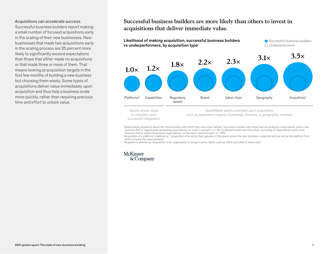#### *Acquisitions can accelerate success.*

Successful business builders report making a small number of focused acquisitions early in the scaling of their new businesses. New businesses that made two acquisitions early in the scaling process are 25 percent more likely to significantly exceed expectations than those that either made no acquisitions or that made three or more of them. That means looking at acquisition targets in the first few months of building a new business but choosing them wisely. Some types of acquisitions deliver value immediately upon acquisition and thus help a business scale more quickly, rather than requiring precious time and effort to unlock value.

#### Successful business builders are more likely than others to invest **Successful business builders are more likely than others to invest in**  acquisitions that deliver immediate value.



*Assets whose value is unlocked upon successful integration*

*Quanti able assets unlocked upon acquisition, such as expanded margins, knowledge, licenses, or geographic markets*

'Respondents answered about the new business with which they were most familiar. Successful builders are those that, according to respondents, built a new<br>business that is "significantly exceeding expectations for scale or business that is "performing below expectations" or has been "discontinued"; n = 276.

<sup>2</sup>Acquisition of a platform is defined as "acquisition of an entity that operates in the space where the new business is planned and can act as the platform from which to build that new business."

<sup>3</sup>Acquihire is defined as "acquisition of an organization to bring in senior talent, such as CEOs and other C-level roles."

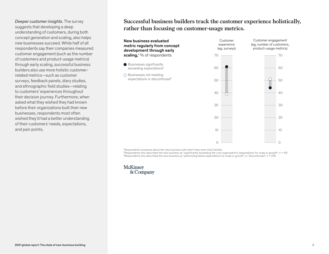*Deeper customer insights.* The survey suggests that developing a deep understanding of customers, during both concept generation and scaling, also helps new businesses succeed. While half of all respondents say their companies measured customer engagement (such as the number of customers and product-usage metrics) through early scaling, successful business builders also use more holistic customerrelated metrics—such as customer surveys, feedback panels, diary studies, and ethnographic field studies—relating to customers' experiences throughout their decision journey. Furthermore, when asked what they wished they had known before their organizations built their new businesses, respondents most often wished they'd had a better understanding of their customers' needs, expectations, and pain points.

Successful business builders track the customer experience holistically, **Successful business builders track the customer experience holistically,**  rather than focusing on customer-usage metrics. **rather than focusing on customer-usage metrics.**



1 Respondents answered about the new business with which they were most familiar.

2 Respondents who described the new business as "signicantly exceeding the core organization's expectations for scale or growth"; n = 161. 3 Respondents who described the new business as "performing below expectations for scale or growth" or "discontinued"; n = 276.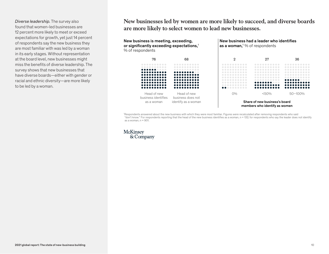*Diverse leadership.* The survey also found that women-led businesses are 12 percent more likely to meet or exceed expectations for growth, yet just 14 percent of respondents say the new business they are most familiar with was led by a woman in its early stages. Without representation at the board level, new businesses might miss the benefits of diverse leadership. The survey shows that new businesses that have diverse boards—either with gender or racial and ethnic diversity—are more likely to be led by a woman.

New businesses led by women are more likely to succeed, and diverse boards **New businesses led by women are more likely to succeed, and diverse boards**  are more likely to select women to lead new businesses. **are more likely to select women to lead new businesses.**



1 Respondents answered about the new business with which they were most familiar. Figures were recalculated after removing respondents who said "don't know." For respondents reporting that the head of the new business identies as a woman, n = 132; for respondents who say the leader does not identify as a woman,  $n = 901$ .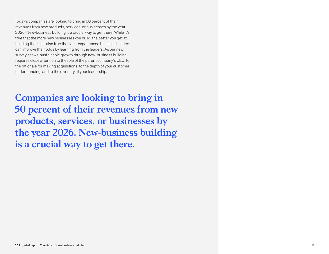Today's companies are looking to bring in 50 percent of their revenues from new products, services, or businesses by the year 2026. New-business building is a crucial way to get there. While it's true that the more new businesses you build, the better you get at building them, it's also true that less-experienced business builders can improve their odds by learning from the leaders. As our new survey shows, sustainable growth through new-business building requires close attention to the role of the parent company's CEO, to the rationale for making acquisitions, to the depth of your customer understanding, and to the diversity of your leadership.

**Companies are looking to bring in 50 percent of their revenues from new products, services, or businesses by the year 2026. New-business building is a crucial way to get there.**